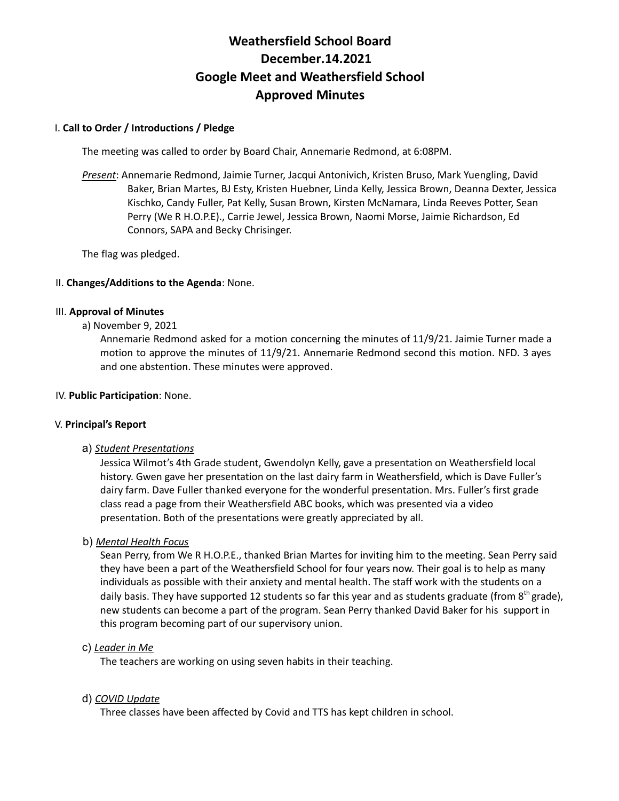# **Weathersfield School Board December.14.2021 Google Meet and Weathersfield School Approved Minutes**

# I. **Call to Order / Introductions / Pledge**

The meeting was called to order by Board Chair, Annemarie Redmond, at 6:08PM.

*Present*: Annemarie Redmond, Jaimie Turner, Jacqui Antonivich, Kristen Bruso, Mark Yuengling, David Baker, Brian Martes, BJ Esty, Kristen Huebner, Linda Kelly, Jessica Brown, Deanna Dexter, Jessica Kischko, Candy Fuller, Pat Kelly, Susan Brown, Kirsten McNamara, Linda Reeves Potter, Sean Perry (We R H.O.P.E)., Carrie Jewel, Jessica Brown, Naomi Morse, Jaimie Richardson, Ed Connors, SAPA and Becky Chrisinger.

The flag was pledged.

# II. **Changes/Additions to the Agenda**: None.

#### III. **Approval of Minutes**

a) November 9, 2021

Annemarie Redmond asked for a motion concerning the minutes of 11/9/21. Jaimie Turner made a motion to approve the minutes of 11/9/21. Annemarie Redmond second this motion. NFD. 3 ayes and one abstention. These minutes were approved.

### IV. **Public Participation**: None.

# V. **Principal's Report**

# a) *Student Presentations*

Jessica Wilmot's 4th Grade student, Gwendolyn Kelly, gave a presentation on Weathersfield local history. Gwen gave her presentation on the last dairy farm in Weathersfield, which is Dave Fuller's dairy farm. Dave Fuller thanked everyone for the wonderful presentation. Mrs. Fuller's first grade class read a page from their Weathersfield ABC books, which was presented via a video presentation. Both of the presentations were greatly appreciated by all.

# b) *Mental Health Focus*

Sean Perry, from We R H.O.P.E., thanked Brian Martes for inviting him to the meeting. Sean Perry said they have been a part of the Weathersfield School for four years now. Their goal is to help as many individuals as possible with their anxiety and mental health. The staff work with the students on a daily basis. They have supported 12 students so far this year and as students graduate (from  $8<sup>th</sup>$  grade), new students can become a part of the program. Sean Perry thanked David Baker for his support in this program becoming part of our supervisory union.

# c) *Leader in Me*

The teachers are working on using seven habits in their teaching.

# d) *COVID Update*

Three classes have been affected by Covid and TTS has kept children in school.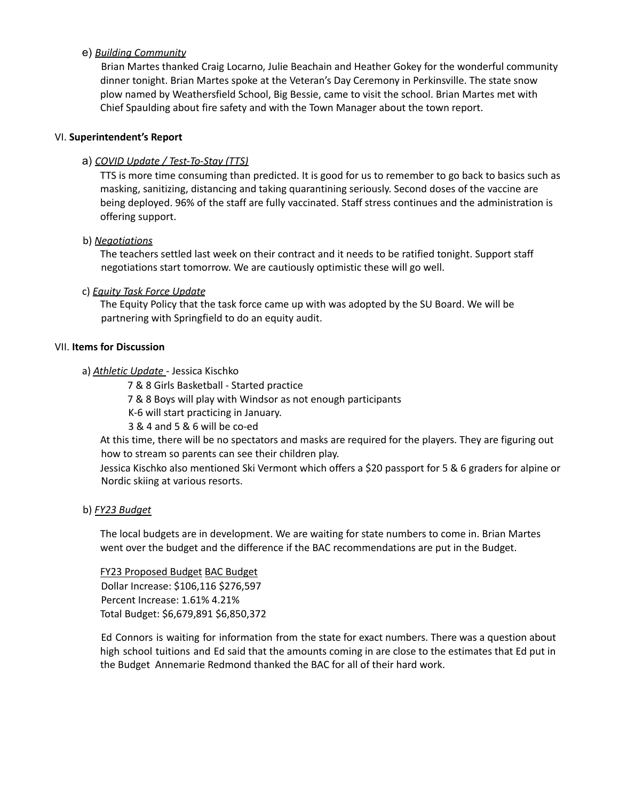# e) *Building Community*

Brian Martes thanked Craig Locarno, Julie Beachain and Heather Gokey for the wonderful community dinner tonight. Brian Martes spoke at the Veteran's Day Ceremony in Perkinsville. The state snow plow named by Weathersfield School, Big Bessie, came to visit the school. Brian Martes met with Chief Spaulding about fire safety and with the Town Manager about the town report.

# VI. **Superintendent's Report**

# a) *COVID Update / Test-To-Stay (TTS)*

TTS is more time consuming than predicted. It is good for us to remember to go back to basics such as masking, sanitizing, distancing and taking quarantining seriously. Second doses of the vaccine are being deployed. 96% of the staff are fully vaccinated. Staff stress continues and the administration is offering support.

# b) *Negotiations*

The teachers settled last week on their contract and it needs to be ratified tonight. Support staff negotiations start tomorrow. We are cautiously optimistic these will go well.

# c) *Equity Task Force Update*

The Equity Policy that the task force came up with was adopted by the SU Board. We will be partnering with Springfield to do an equity audit.

# VII. **Items for Discussion**

# a) *Athletic Update* - Jessica Kischko

7 & 8 Girls Basketball - Started practice

7 & 8 Boys will play with Windsor as not enough participants

K-6 will start practicing in January.

3 & 4 and 5 & 6 will be co-ed

At this time, there will be no spectators and masks are required for the players. They are figuring out how to stream so parents can see their children play.

Jessica Kischko also mentioned Ski Vermont which offers a \$20 passport for 5 & 6 graders for alpine or Nordic skiing at various resorts.

# b) *FY23 Budget*

The local budgets are in development. We are waiting for state numbers to come in. Brian Martes went over the budget and the difference if the BAC recommendations are put in the Budget.

FY23 Proposed Budget BAC Budget Dollar Increase: \$106,116 \$276,597 Percent Increase: 1.61% 4.21% Total Budget: \$6,679,891 \$6,850,372

Ed Connors is waiting for information from the state for exact numbers. There was a question about high school tuitions and Ed said that the amounts coming in are close to the estimates that Ed put in the Budget Annemarie Redmond thanked the BAC for all of their hard work.